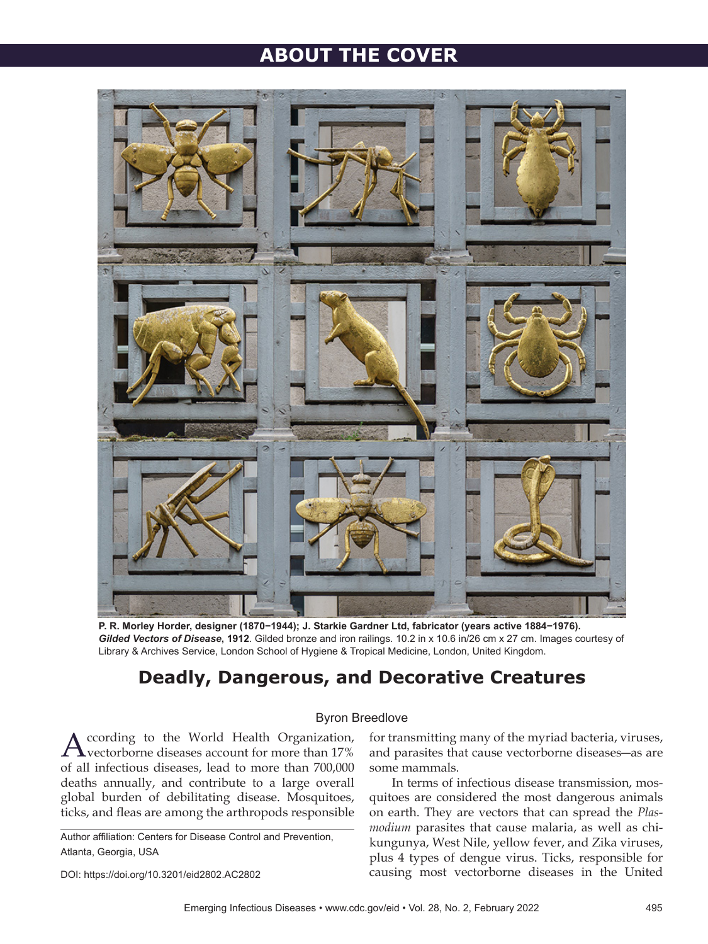# **ABOUT THE COVER**



**P. R. Morley Horder, designer (1870−1944); J. Starkie Gardner Ltd, fabricator (years active 1884−1976).**  *Gilded Vectors of Disease***, 1912**. Gilded bronze and iron railings. 10.2 in x 10.6 in/26 cm x 27 cm. Images courtesy of Library & Archives Service, London School of Hygiene & Tropical Medicine, London, United Kingdom.

## **Deadly, Dangerous, and Decorative Creatures**

## Byron Breedlove

ccording to the World Health Organization, vectorborne diseases account for more than 17% of all infectious diseases, lead to more than 700,000 deaths annually, and contribute to a large overall global burden of debilitating disease. Mosquitoes, ticks, and fleas are among the arthropods responsible

Author affiliation: Centers for Disease Control and Prevention, Atlanta, Georgia, USA

DOI: https://doi.org/10.3201/eid2802.AC2802

for transmitting many of the myriad bacteria, viruses, and parasites that cause vectorborne diseases―as are some mammals.

In terms of infectious disease transmission, mosquitoes are considered the most dangerous animals on earth. They are vectors that can spread the *Plasmodium* parasites that cause malaria, as well as chikungunya, West Nile, yellow fever, and Zika viruses, plus 4 types of dengue virus. Ticks, responsible for causing most vectorborne diseases in the United